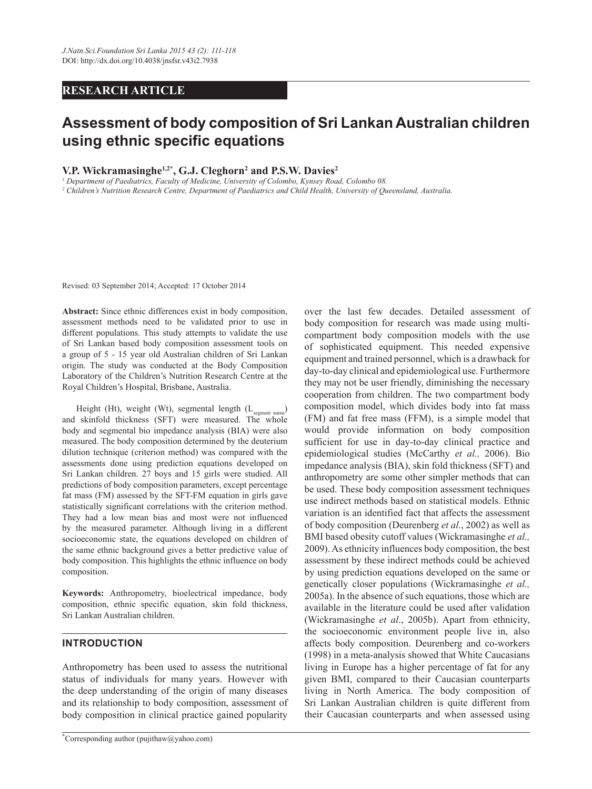# **RESEARCH ARTICLE**

# **Assessment of body composition of Sri Lankan Australian children using ethnic specific equations**

# **V.P. Wickramasinghe1,2\*, G.J. Cleghorn2 and P.S.W. Davies2**

*1 Department of Paediatrics, Faculty of Medicine, University of Colombo, Kynsey Road, Colombo 08.* 

*2 Children's Nutrition Research Centre, Department of Paediatrics and Child Health, University of Queensland, Australia.*

Revised: 03 September 2014; Accepted: 17 October 2014

**Abstract:** Since ethnic differences exist in body composition, assessment methods need to be validated prior to use in different populations. This study attempts to validate the use of Sri Lankan based body composition assessment tools on a group of 5 - 15 year old Australian children of Sri Lankan origin. The study was conducted at the Body Composition Laboratory of the Children's Nutrition Research Centre at the Royal Children's Hospital, Brisbane, Australia.

Height (Ht), weight (Wt), segmental length (L<sub>segment name</sub>) and skinfold thickness (SFT) were measured. The whole body and segmental bio impedance analysis (BIA) were also measured. The body composition determined by the deuterium dilution technique (criterion method) was compared with the assessments done using prediction equations developed on Sri Lankan children. 27 boys and 15 girls were studied. All predictions of body composition parameters, except percentage fat mass (FM) assessed by the SFT-FM equation in girls gave statistically significant correlations with the criterion method. They had a low mean bias and most were not influenced by the measured parameter. Although living in a different socioeconomic state, the equations developed on children of the same ethnic background gives a better predictive value of body composition. This highlights the ethnic influence on body composition.

**Keywords:** Anthropometry, bioelectrical impedance, body composition, ethnic specific equation, skin fold thickness, Sri Lankan Australian children.

## **Introduction**

Anthropometry has been used to assess the nutritional status of individuals for many years. However with the deep understanding of the origin of many diseases and its relationship to body composition, assessment of body composition in clinical practice gained popularity

over the last few decades. Detailed assessment of body composition for research was made using multicompartment body composition models with the use of sophisticated equipment. This needed expensive equipment and trained personnel, which is a drawback for day-to-day clinical and epidemiological use. Furthermore they may not be user friendly, diminishing the necessary cooperation from children. The two compartment body composition model, which divides body into fat mass (FM) and fat free mass (FFM), is a simple model that would provide information on body composition sufficient for use in day-to-day clinical practice and epidemiological studies (McCarthy *et al.,* 2006). Bio impedance analysis (BIA), skin fold thickness (SFT) and anthropometry are some other simpler methods that can be used. These body composition assessment techniques use indirect methods based on statistical models. Ethnic variation is an identified fact that affects the assessment of body composition (Deurenberg *et al*., 2002) as well as BMI based obesity cutoff values (Wickramasinghe *et al.,* 2009). As ethnicity influences body composition, the best assessment by these indirect methods could be achieved by using prediction equations developed on the same or genetically closer populations (Wickramasinghe *et al.,* 2005a). In the absence of such equations, those which are available in the literature could be used after validation (Wickramasinghe *et al*., 2005b). Apart from ethnicity, the socioeconomic environment people live in, also affects body composition. Deurenberg and co-workers (1998) in a meta-analysis showed that White Caucasians living in Europe has a higher percentage of fat for any given BMI, compared to their Caucasian counterparts living in North America. The body composition of Sri Lankan Australian children is quite different from their Caucasian counterparts and when assessed using

<sup>\*</sup> Corresponding author (pujithaw@yahoo.com)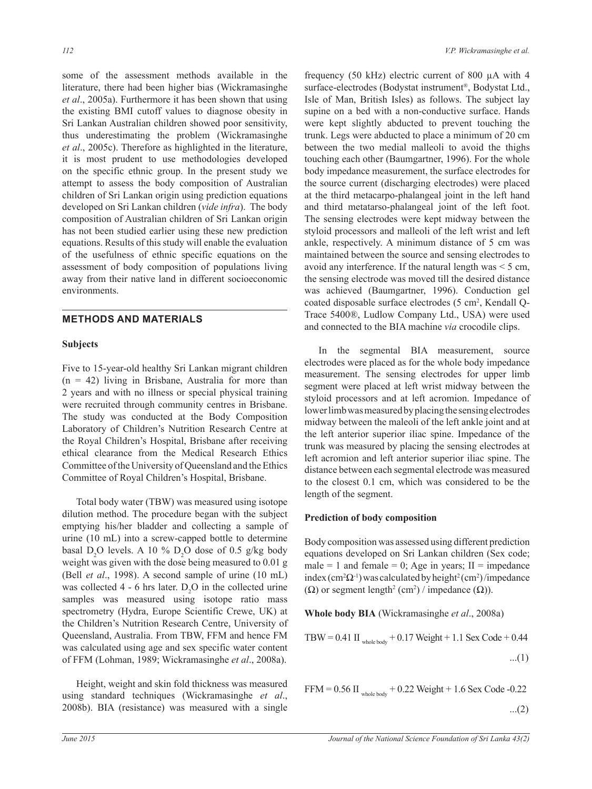some of the assessment methods available in the literature, there had been higher bias (Wickramasinghe *et al*., 2005a). Furthermore it has been shown that using the existing BMI cutoff values to diagnose obesity in Sri Lankan Australian children showed poor sensitivity, thus underestimating the problem (Wickramasinghe *et al*., 2005c). Therefore as highlighted in the literature, it is most prudent to use methodologies developed on the specific ethnic group. In the present study we attempt to assess the body composition of Australian children of Sri Lankan origin using prediction equations developed on Sri Lankan children (*vide infra*). The body composition of Australian children of Sri Lankan origin has not been studied earlier using these new prediction equations. Results of this study will enable the evaluation of the usefulness of ethnic specific equations on the assessment of body composition of populations living away from their native land in different socioeconomic environments.

## **Methods and Materials**

## **Subjects**

Five to 15-year-old healthy Sri Lankan migrant children  $(n = 42)$  living in Brisbane, Australia for more than 2 years and with no illness or special physical training were recruited through community centres in Brisbane. The study was conducted at the Body Composition Laboratory of Children's Nutrition Research Centre at the Royal Children's Hospital, Brisbane after receiving ethical clearance from the Medical Research Ethics Committee of the University of Queensland and the Ethics Committee of Royal Children's Hospital, Brisbane.

Total body water (TBW) was measured using isotope dilution method. The procedure began with the subject emptying his/her bladder and collecting a sample of urine (10 mL) into a screw-capped bottle to determine basal  $D_2O$  levels. A 10 %  $D_2O$  dose of 0.5 g/kg body weight was given with the dose being measured to 0.01 g (Bell *et al*., 1998). A second sample of urine (10 mL) was collected 4 - 6 hrs later.  $D_2O$  in the collected urine samples was measured using isotope ratio mass spectrometry (Hydra, Europe Scientific Crewe, UK) at the Children's Nutrition Research Centre, University of Queensland, Australia. From TBW, FFM and hence FM was calculated using age and sex specific water content of FFM (Lohman, 1989; Wickramasinghe *et al*., 2008a).

Height, weight and skin fold thickness was measured using standard techniques (Wickramasinghe *et al*., 2008b). BIA (resistance) was measured with a single

frequency (50 kHz) electric current of 800 µA with 4 surface-electrodes (Bodystat instrument®, Bodystat Ltd., Isle of Man, British Isles) as follows. The subject lay supine on a bed with a non-conductive surface. Hands were kept slightly abducted to prevent touching the trunk. Legs were abducted to place a minimum of 20 cm between the two medial malleoli to avoid the thighs touching each other (Baumgartner, 1996). For the whole body impedance measurement, the surface electrodes for the source current (discharging electrodes) were placed at the third metacarpo-phalangeal joint in the left hand and third metatarso-phalangeal joint of the left foot. The sensing electrodes were kept midway between the styloid processors and malleoli of the left wrist and left ankle, respectively. A minimum distance of 5 cm was maintained between the source and sensing electrodes to avoid any interference. If the natural length was  $\leq$  5 cm, the sensing electrode was moved till the desired distance was achieved (Baumgartner, 1996). Conduction gel coated disposable surface electrodes (5 cm<sup>2</sup>, Kendall Q-Trace 5400®, Ludlow Company Ltd., USA) were used and connected to the BIA machine *via* crocodile clips.

In the segmental BIA measurement, source electrodes were placed as for the whole body impedance measurement. The sensing electrodes for upper limb segment were placed at left wrist midway between the styloid processors and at left acromion. Impedance of lower limb was measured by placing the sensing electrodes midway between the maleoli of the left ankle joint and at the left anterior superior iliac spine. Impedance of the trunk was measured by placing the sensing electrodes at left acromion and left anterior superior iliac spine. The distance between each segmental electrode was measured to the closest 0.1 cm, which was considered to be the length of the segment.

## **Prediction of body composition**

Body composition was assessed using different prediction equations developed on Sri Lankan children (Sex code; male = 1 and female = 0; Age in years;  $II =$  impedance index (cm<sup>2</sup> $\Omega$ <sup>-1</sup>) was calculated by height<sup>2</sup> (cm<sup>2</sup>)/impedance  $(Ω)$  or segment length<sup>2</sup> (cm<sup>2</sup>) / impedance  $(Ω)$ ).

**Whole body BIA** (Wickramasinghe *et al*., 2008a)

TBW = 0.41 II 
$$
_{\text{whole body}} + 0.17 \text{ Weight} + 1.1 \text{ Sex Code} + 0.44
$$
 ...(1)

$$
FFM = 0.56 \text{ II}_{\text{whole body}} + 0.22 \text{ Weight} + 1.6 \text{ Sex Code} - 0.22
$$

$$
...(2)
$$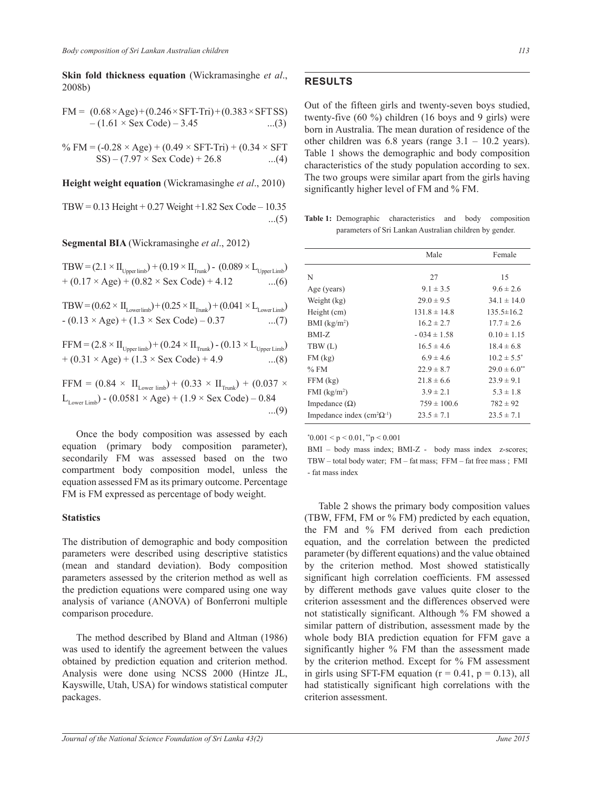**Skin fold thickness equation** (Wickramasinghe *et al*., 2008b)

$$
FM = (0.68 \times Age) + (0.246 \times SFT-Tri) + (0.383 \times SFTSS) - (1.61 \times Sex Code) - 3.45 \dots (3)
$$

% FM = (-0.28 × Age) + (0.49 × SFT-Tri) + (0.34 × SFT SS) – (7.97 × Sex Code) + 26.8 ...(4)

**Height weight equation** (Wickramasinghe *et al*., 2010)

 $TBW = 0.13$  Height + 0.27 Weight + 1.82 Sex Code – 10.35 ...(5)

**Segmental BIA** (Wickramasinghe *et al*., 2012)

 $TBW = (2.1 \times II_{\text{Upper limb}}) + (0.19 \times II_{\text{Trunk}}) - (0.089 \times L_{\text{Upper Limb}})$  $+(0.17 \times \text{Age}) + (0.82 \times \text{Sex Code}) + 4.12$ 

 $TBW = (0.62 \times II_{Lower limb}) + (0.25 \times II_{Trunk}) + (0.041 \times L_{Lower Limb})$  $- (0.13 \times Age) + (1.3 \times Sex Code) - 0.37$ 

$$
\begin{aligned} \text{FFM} &= (2.8 \times \text{II}_{\text{Upper limb}}) + (0.24 \times \text{II}_{\text{Trunk}}) \cdot (0.13 \times \text{L}_{\text{Upper Limb}}) \\ &+ (0.31 \times \text{Age}) + (1.3 \times \text{Sex Code}) + 4.9 \qquad \qquad \dots (8) \end{aligned}
$$

FFM = 
$$
(0.84 \times H_{Lower\,limb}) + (0.33 \times H_{Trunk}) + (0.037 \times
$$
  
\n $L_{Lower\,Limb}) - (0.0581 \times Age) + (1.9 \times Sex Code) - 0.84$  ...(9)

Once the body composition was assessed by each equation (primary body composition parameter), secondarily FM was assessed based on the two compartment body composition model, unless the equation assessed FM as its primary outcome. Percentage FM is FM expressed as percentage of body weight.

#### **Statistics**

The distribution of demographic and body composition parameters were described using descriptive statistics (mean and standard deviation). Body composition parameters assessed by the criterion method as well as the prediction equations were compared using one way analysis of variance (ANOVA) of Bonferroni multiple comparison procedure.

The method described by Bland and Altman (1986) was used to identify the agreement between the values obtained by prediction equation and criterion method. Analysis were done using NCSS 2000 (Hintze JL, Kayswille, Utah, USA) for windows statistical computer packages.

## **Results**

Out of the fifteen girls and twenty-seven boys studied, twenty-five (60 %) children (16 boys and 9 girls) were born in Australia. The mean duration of residence of the other children was  $6.8$  years (range  $3.1 - 10.2$  years). Table 1 shows the demographic and body composition characteristics of the study population according to sex. The two groups were similar apart from the girls having significantly higher level of FM and % FM.

**Table 1:** Demographic characteristics and body composition parameters of Sri Lankan Australian children by gender.

|                                     | Male             | Female              |
|-------------------------------------|------------------|---------------------|
| N                                   | 27               | 15                  |
| Age (years)                         | $9.1 \pm 3.5$    | $9.6 \pm 2.6$       |
| Weight (kg)                         | $29.0 \pm 9.5$   | $34.1 \pm 14.0$     |
| Height (cm)                         | $131.8 \pm 14.8$ | $135.5 \pm 16.2$    |
| BMI $(kg/m2)$                       | $16.2 \pm 2.7$   | $17.7 \pm 2.6$      |
| BMI-Z                               | $-0.34 \pm 1.58$ | $0.10 \pm 1.15$     |
| TBW(L)                              | $16.5 \pm 4.6$   | $18.4 \pm 6.8$      |
| $FM$ (kg)                           | $6.9 \pm 4.6$    | $10.2 \pm 5.5^*$    |
| $%$ FM                              | $22.9 \pm 8.7$   | $29.0 \pm 6.0^{**}$ |
| $FFM$ (kg)                          | $21.8 \pm 6.6$   | $23.9 \pm 9.1$      |
| $FMI$ (kg/m <sup>2</sup> )          | $3.9 \pm 2.1$    | $5.3 \pm 1.8$       |
| Impedance $(\Omega)$                | $759 \pm 100.6$  | $782 \pm 92$        |
| Impedance index $(cm^2\Omega^{-1})$ | $23.5 \pm 7.1$   | $23.5 \pm 7.1$      |

 $*0.001 < p < 0.01, **p < 0.001$ 

BMI – body mass index; BMI-Z - body mass index z-scores; TBW – total body water; FM – fat mass; FFM – fat free mass ; FMI - fat mass index

Table 2 shows the primary body composition values (TBW, FFM, FM or % FM) predicted by each equation, the FM and % FM derived from each prediction equation, and the correlation between the predicted parameter (by different equations) and the value obtained by the criterion method. Most showed statistically significant high correlation coefficients. FM assessed by different methods gave values quite closer to the criterion assessment and the differences observed were not statistically significant. Although % FM showed a similar pattern of distribution, assessment made by the whole body BIA prediction equation for FFM gave a significantly higher % FM than the assessment made by the criterion method. Except for % FM assessment in girls using SFT-FM equation ( $r = 0.41$ ,  $p = 0.13$ ), all had statistically significant high correlations with the criterion assessment.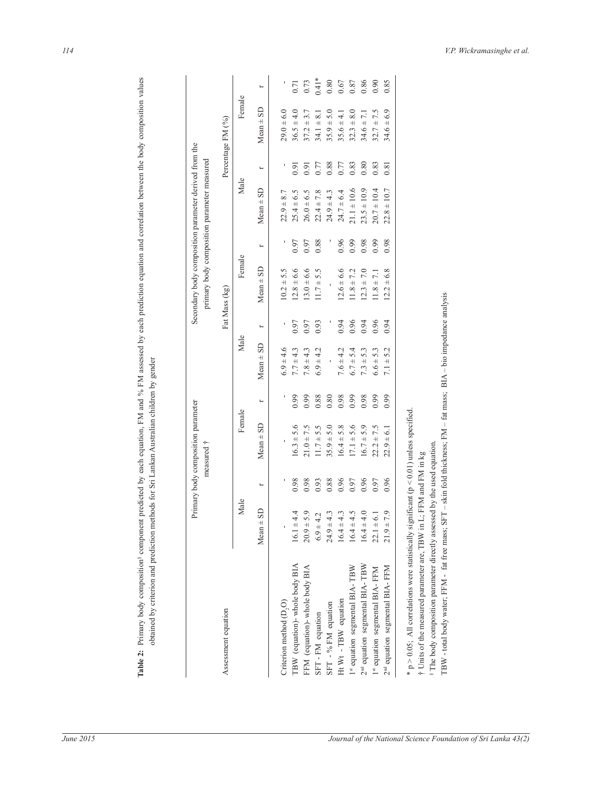|                                            |                         |      | Primary body composition parameter<br>measured † |      |                              |          | Secondary body composition parameter derived from the |      | primary body composition parameter measured |          |                               |  |
|--------------------------------------------|-------------------------|------|--------------------------------------------------|------|------------------------------|----------|-------------------------------------------------------|------|---------------------------------------------|----------|-------------------------------|--|
| Assessment equation                        |                         |      |                                                  |      |                              |          | Fat Mass (kg)                                         |      |                                             |          | Percentage FM (%)             |  |
|                                            | Male                    |      | Female                                           |      | Male                         |          | Female                                                |      | Male                                        |          | Female                        |  |
|                                            | <b>GS</b><br>Mean $\pm$ | r    | $Mean \pm SD$                                    | r    | $Mean \pm SD$                | $\vdash$ | $Mean \pm SD$                                         | r    | $Mean \pm SD$                               | $\vdash$ | $Mean = SD$                   |  |
| Criterion method (D,O)                     |                         |      |                                                  |      | $6.9 + 4.6$                  | ı        | $10.2 + 5.5$                                          |      | 8.7<br>$22.9 \pm 1$                         |          | $29.0 \pm 6.0$                |  |
| TBW (equation)- whole body BIA             | $16.1 \pm 4.4$          | 0.98 | $16.3 \pm 5.6$                                   | 0.99 | $7.7 \pm 4.3$                | 0.97     | $12.8 \pm 6.6$                                        | 0.97 | $25.4 \pm 6.5$                              | 0.91     | $36.5 \pm 4.0$                |  |
| FFM (equation)- whole body BIA             | $20.9 \pm 5.9$          | 0.98 | $21.0 \pm 7.5$                                   | 0.99 | $7.8 \pm 4.3$                | 0.97     | $13.0 \pm 6.6$                                        | 0.97 | $26.0 \pm 6.5$                              | 0.91     | $37.2 \pm 3.7$                |  |
| SFT-FM equation                            | $6.9 \pm 4.2$           | 0.93 | $11.7 + 5.5$                                     | 0.88 | ±4.2<br>6.9                  | 0.93     | 5.5<br>$11.7 \pm$                                     | 0.88 | $22.4 \pm 7.8$                              | 0.77     | 8.1<br>$34.1 \pm$             |  |
| SFT - % FM equation                        | $24.9 \pm 4.3$          | 0.88 | $35.9 \pm 5.0$                                   | 0.80 |                              |          |                                                       |      | $24.9 \pm 4.3$                              | 0.88     | 5.0<br>$35.9 \pm$             |  |
| Ht Wt - TBW equation                       | $16.4 \pm 4.3$          | 0.96 | $16.4 \pm 5.8$                                   | 0.98 | $7.6 \pm 4.2$                | 0.94     | $12.6 \pm 6.6$                                        | 0.96 | $24.7 + 6.4$                                | 0.77     | $\frac{1}{4}$<br>$35.6 \pm .$ |  |
| 1st equation segmental BIA-TBW             | $16.4 \pm 4.5$          | 0.97 | $17.1 \pm 5.6$                                   | 0.99 | $+ 5.4$<br>6.7               | 0.96     | $11.8 \pm 7.2$                                        | 0.99 | $21.1 \pm 10.6$                             | 0.83     | 8.0<br>$32.3 +$               |  |
| 2 <sup>nd</sup> equation segmental BIA-TBW | $16.4 \pm 4.0$          | 0.96 | $16.7 \pm 5.9$                                   | 0.98 | $7.3 + 5.3$                  | 0.94     | $12.3 \pm 7.0$                                        | 0.98 | $23.5 \pm 10.9$                             | 0.80     | 7.1<br>$34.6 \pm 7$           |  |
| 1st equation segmental BIA-FFM             | $22.1 \pm 6.1$          | 0.97 | $22.2 \pm 7.5$                                   | 0.99 | $6.6 \pm 5.3$                | 0.96     | $11.8 \pm 7.1$                                        | 0.99 | $20.7 \pm 10.4$                             | 0.83     | $32.7 \pm 7.5$                |  |
| 2 <sup>nd</sup> equation segmental BIA-FFM | $21.9 \pm 7.9$          | 0.96 | $\pm 6.1$<br>22.9                                | 0.99 | 5.2<br>$\overline{+}$<br>7.1 | 0.94     | $12.2 \pm 6.8$                                        | 0.98 | $\pm\,10.7$<br>22.8                         | 0.81     | 6.9<br>$34.6 \pm$             |  |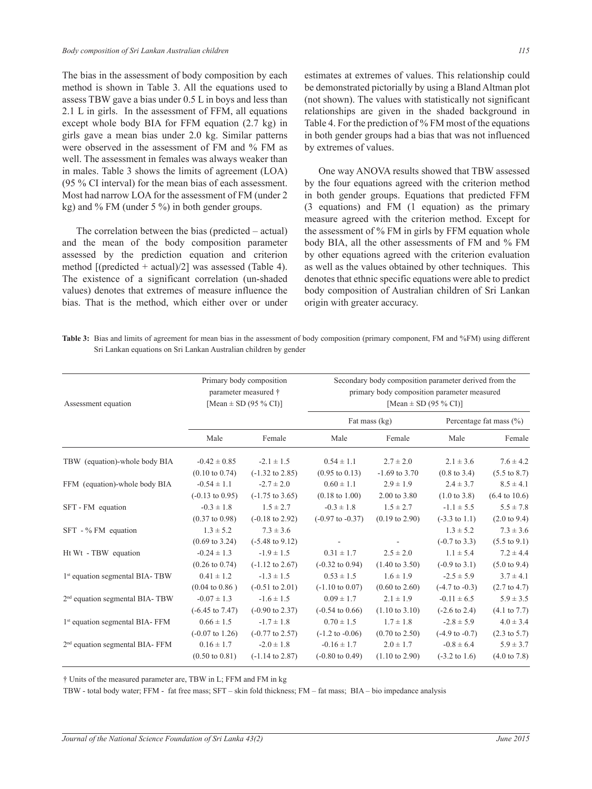The bias in the assessment of body composition by each method is shown in Table 3. All the equations used to assess TBW gave a bias under 0.5 L in boys and less than 2.1 L in girls. In the assessment of FFM, all equations except whole body BIA for FFM equation (2.7 kg) in girls gave a mean bias under 2.0 kg. Similar patterns were observed in the assessment of FM and % FM as well. The assessment in females was always weaker than in males. Table 3 shows the limits of agreement (LOA) (95 % CI interval) for the mean bias of each assessment. Most had narrow LOA for the assessment of FM (under 2 kg) and % FM (under 5 %) in both gender groups.

The correlation between the bias (predicted – actual) and the mean of the body composition parameter assessed by the prediction equation and criterion method  $[(predicted + actual)/2]$  was assessed (Table 4). The existence of a significant correlation (un-shaded values) denotes that extremes of measure influence the bias. That is the method, which either over or under

estimates at extremes of values. This relationship could be demonstrated pictorially by using a Bland Altman plot (not shown). The values with statistically not significant relationships are given in the shaded background in Table 4. For the prediction of % FM most of the equations in both gender groups had a bias that was not influenced by extremes of values.

One way ANOVA results showed that TBW assessed by the four equations agreed with the criterion method in both gender groups. Equations that predicted FFM (3 equations) and FM (1 equation) as the primary measure agreed with the criterion method. Except for the assessment of % FM in girls by FFM equation whole body BIA, all the other assessments of FM and % FM by other equations agreed with the criterion evaluation as well as the values obtained by other techniques. This denotes that ethnic specific equations were able to predict body composition of Australian children of Sri Lankan origin with greater accuracy.

Table 3: Bias and limits of agreement for mean bias in the assessment of body composition (primary component, FM and %FM) using different Sri Lankan equations on Sri Lankan Australian children by gender

| Assessment equation                         | Primary body composition<br>parameter measured †<br>[Mean $\pm$ SD (95 % CI)] |                            | Secondary body composition parameter derived from the<br>primary body composition parameter measured<br>[Mean $\pm$ SD (95 % CI)] |                           |                           |                             |  |
|---------------------------------------------|-------------------------------------------------------------------------------|----------------------------|-----------------------------------------------------------------------------------------------------------------------------------|---------------------------|---------------------------|-----------------------------|--|
|                                             |                                                                               |                            | Fat mass (kg)                                                                                                                     |                           |                           | Percentage fat mass $(\% )$ |  |
|                                             | Male                                                                          | Female                     | Male                                                                                                                              | Female                    | Male                      | Female                      |  |
| TBW (equation)-whole body BIA               | $-0.42 \pm 0.85$                                                              | $-2.1 \pm 1.5$             | $0.54 \pm 1.1$                                                                                                                    | $2.7 \pm 2.0$             | $2.1 \pm 3.6$             | $7.6 \pm 4.2$               |  |
|                                             | $(0.10 \text{ to } 0.74)$                                                     | $(-1.32 \text{ to } 2.85)$ | $(0.95 \text{ to } 0.13)$                                                                                                         | $-1.69$ to 3.70           | $(0.8 \text{ to } 3.4)$   | $(5.5 \text{ to } 8.7)$     |  |
| FFM (equation)-whole body BIA               | $-0.54 \pm 1.1$                                                               | $-2.7 \pm 2.0$             | $0.60 \pm 1.1$                                                                                                                    | $2.9 \pm 1.9$             | $2.4 \pm 3.7$             | $8.5 \pm 4.1$               |  |
|                                             | $(-0.13 \text{ to } 0.95)$                                                    | $(-1.75 \text{ to } 3.65)$ | $(0.18 \text{ to } 1.00)$                                                                                                         | 2.00 to 3.80              | $(1.0 \text{ to } 3.8)$   | $(6.4 \text{ to } 10.6)$    |  |
| SFT - FM equation                           | $-0.3 \pm 1.8$                                                                | $1.5 \pm 2.7$              | $-0.3 \pm 1.8$                                                                                                                    | $1.5 \pm 2.7$             | $-1.1 \pm 5.5$            | $5.5 \pm 7.8$               |  |
|                                             | $(0.37 \text{ to } 0.98)$                                                     | $(-0.18 \text{ to } 2.92)$ | $(-0.97 \text{ to } -0.37)$                                                                                                       | $(0.19 \text{ to } 2.90)$ | $(-3.3 \text{ to } 1.1)$  | $(2.0 \text{ to } 9.4)$     |  |
| $SFT - % FM equation$                       | $1.3 \pm 5.2$                                                                 | $7.3 \pm 3.6$              |                                                                                                                                   |                           | $1.3 \pm 5.2$             | $7.3 \pm 3.6$               |  |
|                                             | $(0.69 \text{ to } 3.24)$                                                     | $(-5.48 \text{ to } 9.12)$ |                                                                                                                                   |                           | $(-0.7 \text{ to } 3.3)$  | $(5.5 \text{ to } 9.1)$     |  |
| Ht Wt - TBW equation                        | $-0.24 \pm 1.3$                                                               | $-1.9 \pm 1.5$             | $0.31 \pm 1.7$                                                                                                                    | $2.5 \pm 2.0$             | $1.1 \pm 5.4$             | $7.2 \pm 4.4$               |  |
|                                             | $(0.26 \text{ to } 0.74)$                                                     | $(-1.12 \text{ to } 2.67)$ | $(-0.32 \text{ to } 0.94)$                                                                                                        | $(1.40 \text{ to } 3.50)$ | $(-0.9 \text{ to } 3.1)$  | $(5.0 \text{ to } 9.4)$     |  |
| 1 <sup>st</sup> equation segmental BIA-TBW  | $0.41 \pm 1.2$                                                                | $-1.3 \pm 1.5$             | $0.53 \pm 1.5$                                                                                                                    | $1.6 \pm 1.9$             | $-2.5 \pm 5.9$            | $3.7 \pm 4.1$               |  |
|                                             | $(0.04 \text{ to } 0.86)$                                                     | $(-0.51 \text{ to } 2.01)$ | $(-1.10 \text{ to } 0.07)$                                                                                                        | $(0.60 \text{ to } 2.60)$ | $(-4.7 \text{ to } -0.3)$ | $(2.7 \text{ to } 4.7)$     |  |
| 2 <sup>nd</sup> equation segmental BIA-TBW  | $-0.07 \pm 1.3$                                                               | $-1.6 \pm 1.5$             | $0.09 \pm 1.7$                                                                                                                    | $2.1 \pm 1.9$             | $-0.11 \pm 6.5$           | $5.9 \pm 3.5$               |  |
|                                             | $(-6.45 \text{ to } 7.47)$                                                    | $(-0.90 \text{ to } 2.37)$ | $(-0.54 \text{ to } 0.66)$                                                                                                        | $(1.10 \text{ to } 3.10)$ | $(-2.6 \text{ to } 2.4)$  | $(4.1 \text{ to } 7.7)$     |  |
| 1 <sup>st</sup> equation segmental BIA- FFM | $0.66 \pm 1.5$                                                                | $-1.7 \pm 1.8$             | $0.70 \pm 1.5$                                                                                                                    | $1.7 \pm 1.8$             | $-2.8 \pm 5.9$            | $4.0 \pm 3.4$               |  |
|                                             | $(-0.07 \text{ to } 1.26)$                                                    | $(-0.77 \text{ to } 2.57)$ | $(-1.2 \text{ to } -0.06)$                                                                                                        | $(0.70 \text{ to } 2.50)$ | $(-4.9 \text{ to } -0.7)$ | $(2.3 \text{ to } 5.7)$     |  |
| 2 <sup>nd</sup> equation segmental BIA- FFM | $0.16 \pm 1.7$                                                                | $-2.0 \pm 1.8$             | $-0.16 \pm 1.7$                                                                                                                   | $2.0 \pm 1.7$             | $-0.8 \pm 6.4$            | $5.9 \pm 3.7$               |  |
|                                             | $(0.50 \text{ to } 0.81)$                                                     | $(-1.14 \text{ to } 2.87)$ | $(-0.80 \text{ to } 0.49)$                                                                                                        | $(1.10 \text{ to } 2.90)$ | $(-3.2 \text{ to } 1.6)$  | $(4.0 \text{ to } 7.8)$     |  |

† Units of the measured parameter are, TBW in L; FFM and FM in kg

TBW - total body water; FFM - fat free mass; SFT – skin fold thickness; FM – fat mass; BIA – bio impedance analysis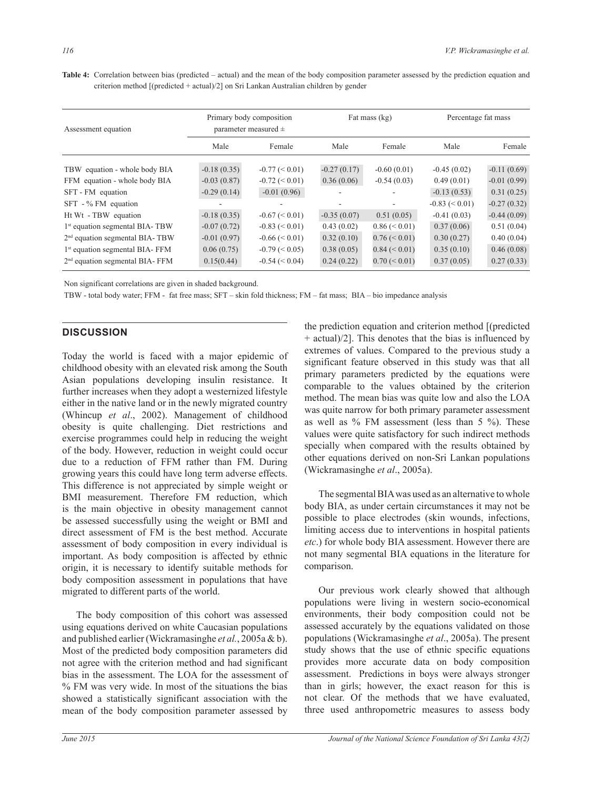| Assessment equation                         | Primary body composition<br>parameter measured $\pm$ |                   | Fat mass (kg) |                  | Percentage fat mass |               |
|---------------------------------------------|------------------------------------------------------|-------------------|---------------|------------------|---------------------|---------------|
|                                             | Male                                                 | Female            | Male          | Female           | Male                | Female        |
| TBW equation - whole body BIA               | $-0.18(0.35)$                                        | $-0.77 \leq 0.01$ | $-0.27(0.17)$ | $-0.60(0.01)$    | $-0.45(0.02)$       | $-0.11(0.69)$ |
| FFM equation - whole body BIA               | $-0.03(0.87)$                                        | $-0.72 \leq 0.01$ | 0.36(0.06)    | $-0.54(0.03)$    | 0.49(0.01)          | $-0.01(0.99)$ |
| SFT - FM equation                           | $-0.29(0.14)$                                        | $-0.01(0.96)$     |               |                  | $-0.13(0.53)$       | 0.31(0.25)    |
| SFT - % FM equation                         |                                                      |                   |               | $\sim$           | $-0.83 \le 0.01$    | $-0.27(0.32)$ |
| Ht Wt - TBW equation                        | $-0.18(0.35)$                                        | $-0.67 \le 0.01$  | $-0.35(0.07)$ | 0.51(0.05)       | $-0.41(0.03)$       | $-0.44(0.09)$ |
| 1 <sup>st</sup> equation segmental BIA-TBW  | $-0.07(0.72)$                                        | $-0.83 \le 0.01$  | 0.43(0.02)    | $0.86 \le 0.01$  | 0.37(0.06)          | 0.51(0.04)    |
| $2nd$ equation segmental BIA-TBW            | $-0.01(0.97)$                                        | $-0.66 \le 0.01$  | 0.32(0.10)    | $0.76 \leq 0.01$ | 0.30(0.27)          | 0.40(0.04)    |
| 1 <sup>st</sup> equation segmental BIA-FFM  | 0.06(0.75)                                           | $-0.79 \leq 0.05$ | 0.38(0.05)    | $0.84 \le 0.01$  | 0.35(0.10)          | 0.46(0.08)    |
| 2 <sup>nd</sup> equation segmental BIA- FFM | 0.15(0.44)                                           | $-0.54 \le 0.04$  | 0.24(0.22)    | $0.70 \le 0.01$  | 0.37(0.05)          | 0.27(0.33)    |

**Table 4:** Correlation between bias (predicted – actual) and the mean of the body composition parameter assessed by the prediction equation and criterion method [(predicted + actual)/2] on Sri Lankan Australian children by gender

Non significant correlations are given in shaded background.

TBW - total body water; FFM - fat free mass; SFT – skin fold thickness; FM – fat mass; BIA – bio impedance analysis

## **Discussion**

Today the world is faced with a major epidemic of childhood obesity with an elevated risk among the South Asian populations developing insulin resistance. It further increases when they adopt a westernized lifestyle either in the native land or in the newly migrated country (Whincup *et al*., 2002). Management of childhood obesity is quite challenging. Diet restrictions and exercise programmes could help in reducing the weight of the body. However, reduction in weight could occur due to a reduction of FFM rather than FM. During growing years this could have long term adverse effects. This difference is not appreciated by simple weight or BMI measurement. Therefore FM reduction, which is the main objective in obesity management cannot be assessed successfully using the weight or BMI and direct assessment of FM is the best method. Accurate assessment of body composition in every individual is important. As body composition is affected by ethnic origin, it is necessary to identify suitable methods for body composition assessment in populations that have migrated to different parts of the world.

The body composition of this cohort was assessed using equations derived on white Caucasian populations and published earlier (Wickramasinghe *et al.*, 2005a & b). Most of the predicted body composition parameters did not agree with the criterion method and had significant bias in the assessment. The LOA for the assessment of % FM was very wide. In most of the situations the bias showed a statistically significant association with the mean of the body composition parameter assessed by

the prediction equation and criterion method [(predicted + actual)/2]. This denotes that the bias is influenced by extremes of values. Compared to the previous study a significant feature observed in this study was that all primary parameters predicted by the equations were comparable to the values obtained by the criterion method. The mean bias was quite low and also the LOA was quite narrow for both primary parameter assessment as well as % FM assessment (less than 5 %). These values were quite satisfactory for such indirect methods specially when compared with the results obtained by other equations derived on non-Sri Lankan populations (Wickramasinghe *et al*., 2005a).

The segmental BIA was used as an alternative to whole body BIA, as under certain circumstances it may not be possible to place electrodes (skin wounds, infections, limiting access due to interventions in hospital patients *etc*.) for whole body BIA assessment. However there are not many segmental BIA equations in the literature for comparison.

Our previous work clearly showed that although populations were living in western socio-economical environments, their body composition could not be assessed accurately by the equations validated on those populations (Wickramasinghe *et al*., 2005a). The present study shows that the use of ethnic specific equations provides more accurate data on body composition assessment. Predictions in boys were always stronger than in girls; however, the exact reason for this is not clear. Of the methods that we have evaluated, three used anthropometric measures to assess body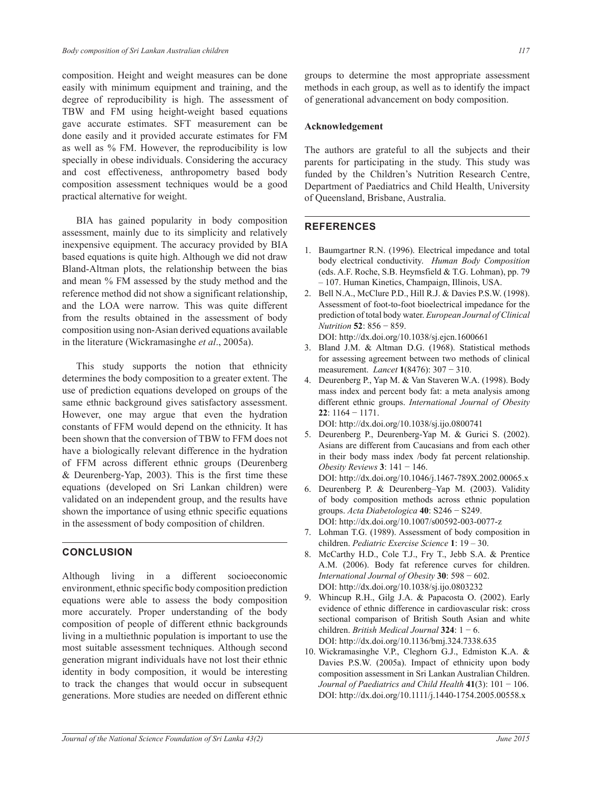composition. Height and weight measures can be done easily with minimum equipment and training, and the degree of reproducibility is high. The assessment of TBW and FM using height-weight based equations gave accurate estimates. SFT measurement can be done easily and it provided accurate estimates for FM as well as % FM. However, the reproducibility is low specially in obese individuals. Considering the accuracy and cost effectiveness, anthropometry based body composition assessment techniques would be a good practical alternative for weight.

BIA has gained popularity in body composition assessment, mainly due to its simplicity and relatively inexpensive equipment. The accuracy provided by BIA based equations is quite high. Although we did not draw Bland-Altman plots, the relationship between the bias and mean % FM assessed by the study method and the reference method did not show a significant relationship, and the LOA were narrow. This was quite different from the results obtained in the assessment of body composition using non-Asian derived equations available in the literature (Wickramasinghe *et al*., 2005a).

This study supports the notion that ethnicity determines the body composition to a greater extent. The use of prediction equations developed on groups of the same ethnic background gives satisfactory assessment. However, one may argue that even the hydration constants of FFM would depend on the ethnicity. It has been shown that the conversion of TBW to FFM does not have a biologically relevant difference in the hydration of FFM across different ethnic groups (Deurenberg & Deurenberg-Yap, 2003). This is the first time these equations (developed on Sri Lankan children) were validated on an independent group, and the results have shown the importance of using ethnic specific equations in the assessment of body composition of children.

# **Conclusion**

Although living in a different socioeconomic environment, ethnic specific body composition prediction equations were able to assess the body composition more accurately. Proper understanding of the body composition of people of different ethnic backgrounds living in a multiethnic population is important to use the most suitable assessment techniques. Although second generation migrant individuals have not lost their ethnic identity in body composition, it would be interesting to track the changes that would occur in subsequent generations. More studies are needed on different ethnic

groups to determine the most appropriate assessment methods in each group, as well as to identify the impact of generational advancement on body composition.

## **Acknowledgement**

The authors are grateful to all the subjects and their parents for participating in the study. This study was funded by the Children's Nutrition Research Centre, Department of Paediatrics and Child Health, University of Queensland, Brisbane, Australia.

## **References**

- 1. Baumgartner R.N. (1996). Electrical impedance and total body electrical conductivity. *Human Body Composition*  (eds. A.F. Roche, S.B. Heymsfield & T.G. Lohman), pp. 79 – 107. Human Kinetics, Champaign, Illinois, USA.
- 2. Bell N.A., McClure P.D., Hill R.J. & Davies P.S.W. (1998). Assessment of foot-to-foot bioelectrical impedance for the prediction of total body water. *European Journal of Clinical Nutrition* **52**: 856 − 859.

DOI: http://dx.doi.org/10.1038/sj.ejcn.1600661

- 3. Bland J.M. & Altman D.G. (1968). Statistical methods for assessing agreement between two methods of clinical measurement. *Lancet* **1**(8476): 307 − 310.
- 4. Deurenberg P., Yap M. & Van Staveren W.A. (1998). Body mass index and percent body fat: a meta analysis among different ethnic groups. *International Journal of Obesity*  **22**: 1164 − 1171.

DOI: http://dx.doi.org/10.1038/sj.ijo.0800741

- 5. Deurenberg P., Deurenberg-Yap M. & Gurici S. (2002). Asians are different from Caucasians and from each other in their body mass index /body fat percent relationship. *Obesity Reviews* **3**: 141 − 146.
- DOI: http://dx.doi.org/10.1046/j.1467-789X.2002.00065.x 6. Deurenberg P. & Deurenberg–Yap M. (2003). Validity of body composition methods across ethnic population groups. *Acta Diabetologica* **40**: S246 − S249. DOI: http://dx.doi.org/10.1007/s00592-003-0077-z
- 7. Lohman T.G. (1989). Assessment of body composition in children. *Pediatric Exercise Science* **1**: 19 – 30.
- 8. McCarthy H.D., Cole T.J., Fry T., Jebb S.A. & Prentice A.M. (2006). Body fat reference curves for children. *International Journal of Obesity* **30**: 598 − 602. DOI: http://dx.doi.org/10.1038/sj.ijo.0803232
- 9. Whincup R.H., Gilg J.A. & Papacosta O. (2002). Early evidence of ethnic difference in cardiovascular risk: cross sectional comparison of British South Asian and white children. *British Medical Journal* **324**: 1 − 6. DOI: http://dx.doi.org/10.1136/bmj.324.7338.635
- 10. Wickramasinghe V.P., Cleghorn G.J., Edmiston K.A. & Davies P.S.W. (2005a). Impact of ethnicity upon body composition assessment in Sri Lankan Australian Children. *Journal of Paediatrics and Child Health* **41**(3): 101 − 106. DOI: http://dx.doi.org/10.1111/j.1440-1754.2005.00558.x